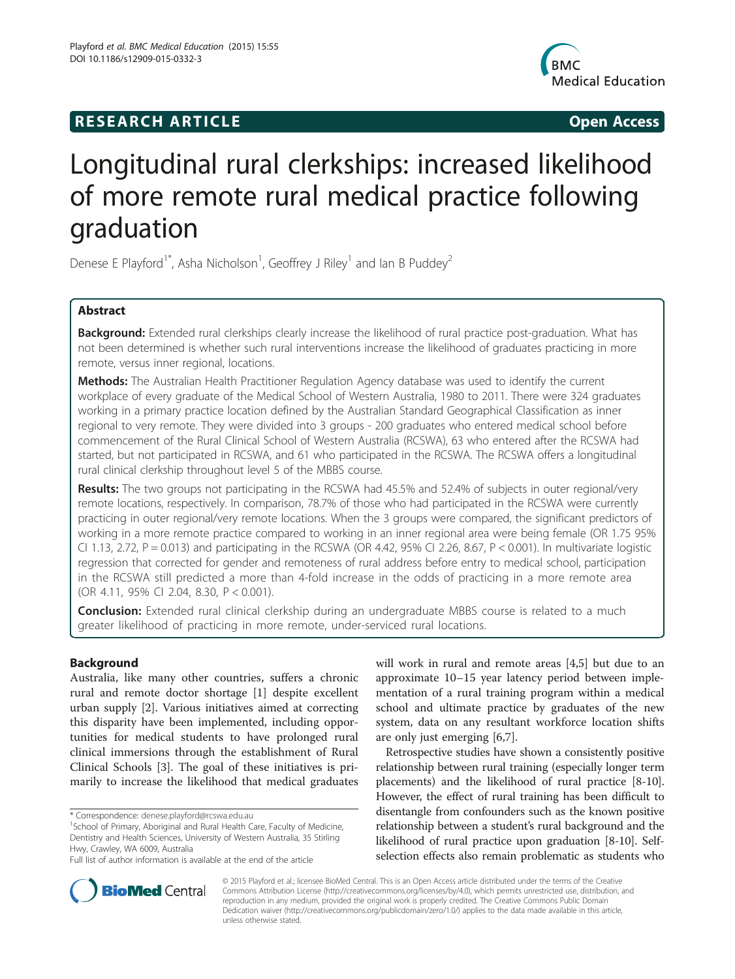# **RESEARCH ARTICLE Example 2014 CONSIDERING CONSIDERING CONSIDERING CONSIDERING CONSIDERING CONSIDERING CONSIDERING CONSIDERING CONSIDERING CONSIDERING CONSIDERING CONSIDERING CONSIDERING CONSIDERING CONSIDERING CONSIDE**



# Longitudinal rural clerkships: increased likelihood of more remote rural medical practice following graduation

Denese E Playford<sup>1\*</sup>, Asha Nicholson<sup>1</sup>, Geoffrey J Riley<sup>1</sup> and Ian B Puddey<sup>2</sup>

# Abstract

Background: Extended rural clerkships clearly increase the likelihood of rural practice post-graduation. What has not been determined is whether such rural interventions increase the likelihood of graduates practicing in more remote, versus inner regional, locations.

Methods: The Australian Health Practitioner Regulation Agency database was used to identify the current workplace of every graduate of the Medical School of Western Australia, 1980 to 2011. There were 324 graduates working in a primary practice location defined by the Australian Standard Geographical Classification as inner regional to very remote. They were divided into 3 groups - 200 graduates who entered medical school before commencement of the Rural Clinical School of Western Australia (RCSWA), 63 who entered after the RCSWA had started, but not participated in RCSWA, and 61 who participated in the RCSWA. The RCSWA offers a longitudinal rural clinical clerkship throughout level 5 of the MBBS course.

Results: The two groups not participating in the RCSWA had 45.5% and 52.4% of subjects in outer regional/very remote locations, respectively. In comparison, 78.7% of those who had participated in the RCSWA were currently practicing in outer regional/very remote locations. When the 3 groups were compared, the significant predictors of working in a more remote practice compared to working in an inner regional area were being female (OR 1.75 95% CI 1.13, 2.72,  $P = 0.013$ ) and participating in the RCSWA (OR 4.42, 95% CI 2.26, 8.67,  $P < 0.001$ ). In multivariate logistic regression that corrected for gender and remoteness of rural address before entry to medical school, participation in the RCSWA still predicted a more than 4-fold increase in the odds of practicing in a more remote area (OR 4.11, 95% CI 2.04, 8.30, P < 0.001).

**Conclusion:** Extended rural clinical clerkship during an undergraduate MBBS course is related to a much greater likelihood of practicing in more remote, under-serviced rural locations.

# Background

Australia, like many other countries, suffers a chronic rural and remote doctor shortage [\[1](#page-8-0)] despite excellent urban supply [[2\]](#page-8-0). Various initiatives aimed at correcting this disparity have been implemented, including opportunities for medical students to have prolonged rural clinical immersions through the establishment of Rural Clinical Schools [\[3](#page-8-0)]. The goal of these initiatives is primarily to increase the likelihood that medical graduates

\* Correspondence: [denese.playford@rcswa.edu.au](mailto:denese.playford@rcswa.edu.au) <sup>1</sup>

will work in rural and remote areas [[4,5\]](#page-8-0) but due to an approximate 10–15 year latency period between implementation of a rural training program within a medical school and ultimate practice by graduates of the new system, data on any resultant workforce location shifts are only just emerging [\[6,7](#page-8-0)].

Retrospective studies have shown a consistently positive relationship between rural training (especially longer term placements) and the likelihood of rural practice [\[8](#page-8-0)-[10](#page-8-0)]. However, the effect of rural training has been difficult to disentangle from confounders such as the known positive relationship between a student's rural background and the likelihood of rural practice upon graduation [\[8](#page-8-0)-[10](#page-8-0)]. Selfselection effects also remain problematic as students who



© 2015 Playford et al.; licensee BioMed Central. This is an Open Access article distributed under the terms of the Creative Commons Attribution License [\(http://creativecommons.org/licenses/by/4.0\)](http://creativecommons.org/licenses/by/4.0), which permits unrestricted use, distribution, and reproduction in any medium, provided the original work is properly credited. The Creative Commons Public Domain Dedication waiver [\(http://creativecommons.org/publicdomain/zero/1.0/](http://creativecommons.org/publicdomain/zero/1.0/)) applies to the data made available in this article, unless otherwise stated.

<sup>&</sup>lt;sup>1</sup>School of Primary, Aboriginal and Rural Health Care, Faculty of Medicine, Dentistry and Health Sciences, University of Western Australia, 35 Stirling Hwy, Crawley, WA 6009, Australia

Full list of author information is available at the end of the article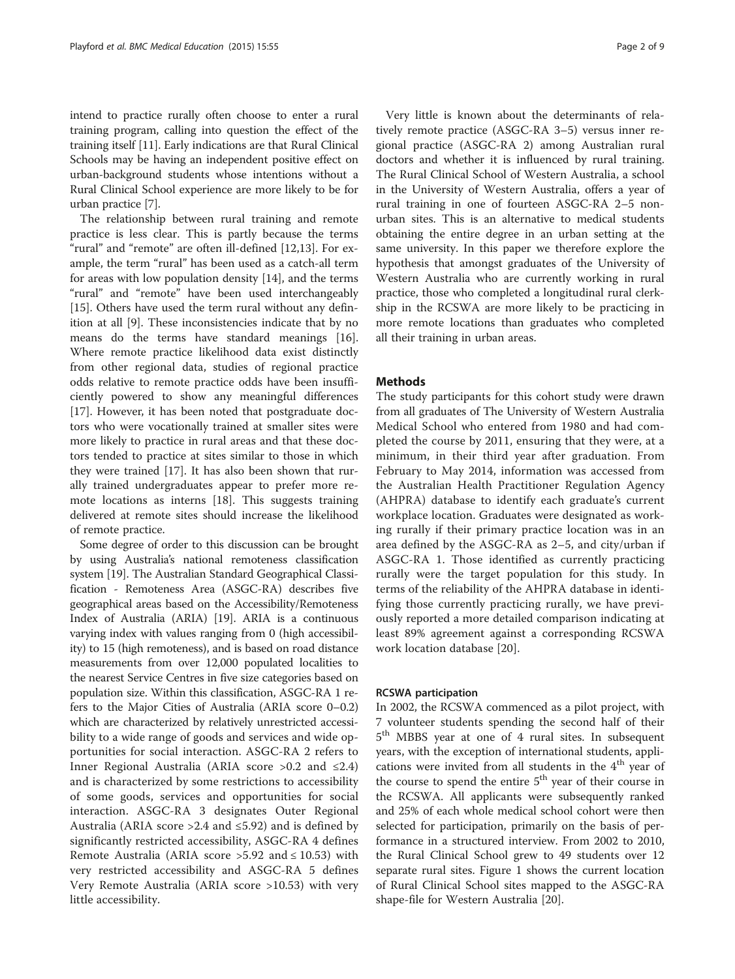intend to practice rurally often choose to enter a rural training program, calling into question the effect of the training itself [\[11](#page-8-0)]. Early indications are that Rural Clinical Schools may be having an independent positive effect on urban-background students whose intentions without a Rural Clinical School experience are more likely to be for urban practice [\[7\]](#page-8-0).

The relationship between rural training and remote practice is less clear. This is partly because the terms "rural" and "remote" are often ill-defined [[12,13\]](#page-8-0). For example, the term "rural" has been used as a catch-all term for areas with low population density [\[14](#page-8-0)], and the terms "rural" and "remote" have been used interchangeably [[15\]](#page-8-0). Others have used the term rural without any definition at all [\[9\]](#page-8-0). These inconsistencies indicate that by no means do the terms have standard meanings [\[16](#page-8-0)]. Where remote practice likelihood data exist distinctly from other regional data, studies of regional practice odds relative to remote practice odds have been insufficiently powered to show any meaningful differences [[17\]](#page-8-0). However, it has been noted that postgraduate doctors who were vocationally trained at smaller sites were more likely to practice in rural areas and that these doctors tended to practice at sites similar to those in which they were trained [\[17\]](#page-8-0). It has also been shown that rurally trained undergraduates appear to prefer more remote locations as interns [[18](#page-8-0)]. This suggests training delivered at remote sites should increase the likelihood of remote practice.

Some degree of order to this discussion can be brought by using Australia's national remoteness classification system [[19](#page-8-0)]. The Australian Standard Geographical Classification - Remoteness Area (ASGC-RA) describes five geographical areas based on the Accessibility/Remoteness Index of Australia (ARIA) [\[19](#page-8-0)]. ARIA is a continuous varying index with values ranging from 0 (high accessibility) to 15 (high remoteness), and is based on road distance measurements from over 12,000 populated localities to the nearest Service Centres in five size categories based on population size. Within this classification, ASGC-RA 1 refers to the Major Cities of Australia (ARIA score 0–0.2) which are characterized by relatively unrestricted accessibility to a wide range of goods and services and wide opportunities for social interaction. ASGC-RA 2 refers to Inner Regional Australia (ARIA score >0.2 and ≤2.4) and is characterized by some restrictions to accessibility of some goods, services and opportunities for social interaction. ASGC-RA 3 designates Outer Regional Australia (ARIA score > 2.4 and  $\leq$  5.92) and is defined by significantly restricted accessibility, ASGC-RA 4 defines Remote Australia (ARIA score > 5.92 and  $\leq 10.53$ ) with very restricted accessibility and ASGC-RA 5 defines Very Remote Australia (ARIA score >10.53) with very little accessibility.

Very little is known about the determinants of relatively remote practice (ASGC-RA 3–5) versus inner regional practice (ASGC-RA 2) among Australian rural doctors and whether it is influenced by rural training. The Rural Clinical School of Western Australia, a school in the University of Western Australia, offers a year of rural training in one of fourteen ASGC-RA 2–5 nonurban sites. This is an alternative to medical students obtaining the entire degree in an urban setting at the same university. In this paper we therefore explore the hypothesis that amongst graduates of the University of Western Australia who are currently working in rural practice, those who completed a longitudinal rural clerkship in the RCSWA are more likely to be practicing in more remote locations than graduates who completed all their training in urban areas.

## **Methods**

The study participants for this cohort study were drawn from all graduates of The University of Western Australia Medical School who entered from 1980 and had completed the course by 2011, ensuring that they were, at a minimum, in their third year after graduation. From February to May 2014, information was accessed from the Australian Health Practitioner Regulation Agency (AHPRA) database to identify each graduate's current workplace location. Graduates were designated as working rurally if their primary practice location was in an area defined by the ASGC-RA as 2–5, and city/urban if ASGC-RA 1. Those identified as currently practicing rurally were the target population for this study. In terms of the reliability of the AHPRA database in identifying those currently practicing rurally, we have previously reported a more detailed comparison indicating at least 89% agreement against a corresponding RCSWA work location database [[20](#page-8-0)].

## RCSWA participation

In 2002, the RCSWA commenced as a pilot project, with 7 volunteer students spending the second half of their 5<sup>th</sup> MBBS year at one of 4 rural sites. In subsequent years, with the exception of international students, applications were invited from all students in the  $4<sup>th</sup>$  year of the course to spend the entire  $5<sup>th</sup>$  year of their course in the RCSWA. All applicants were subsequently ranked and 25% of each whole medical school cohort were then selected for participation, primarily on the basis of performance in a structured interview. From 2002 to 2010, the Rural Clinical School grew to 49 students over 12 separate rural sites. Figure [1](#page-2-0) shows the current location of Rural Clinical School sites mapped to the ASGC-RA shape-file for Western Australia [[20\]](#page-8-0).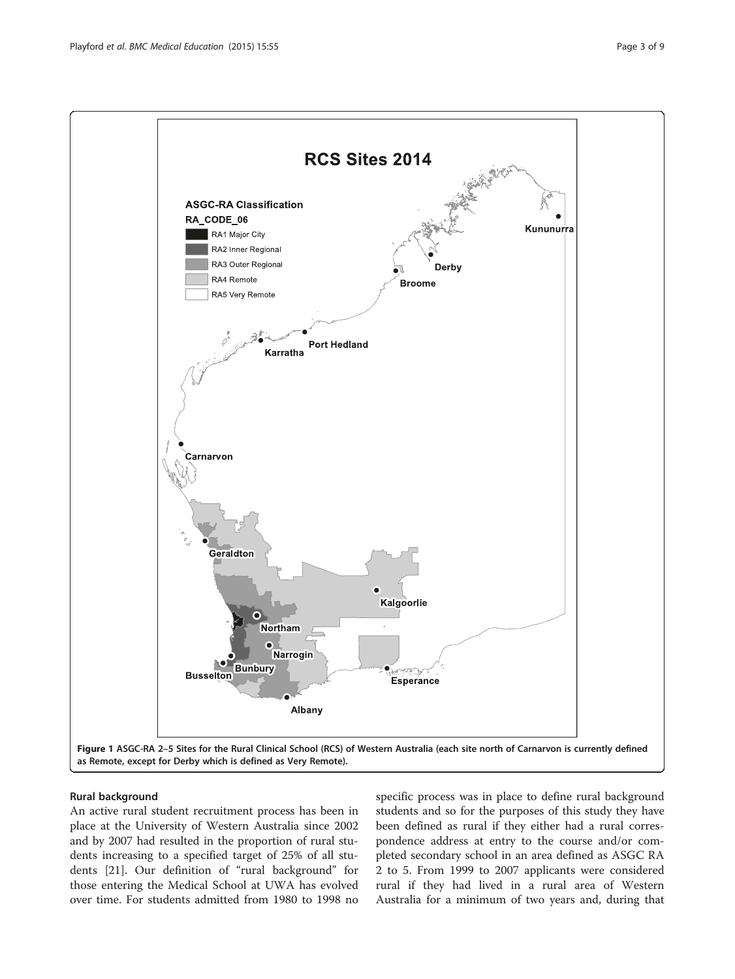<span id="page-2-0"></span>

# Rural background

An active rural student recruitment process has been in place at the University of Western Australia since 2002 and by 2007 had resulted in the proportion of rural students increasing to a specified target of 25% of all students [\[21\]](#page-8-0). Our definition of "rural background" for those entering the Medical School at UWA has evolved over time. For students admitted from 1980 to 1998 no

specific process was in place to define rural background students and so for the purposes of this study they have been defined as rural if they either had a rural correspondence address at entry to the course and/or completed secondary school in an area defined as ASGC RA 2 to 5. From 1999 to 2007 applicants were considered rural if they had lived in a rural area of Western Australia for a minimum of two years and, during that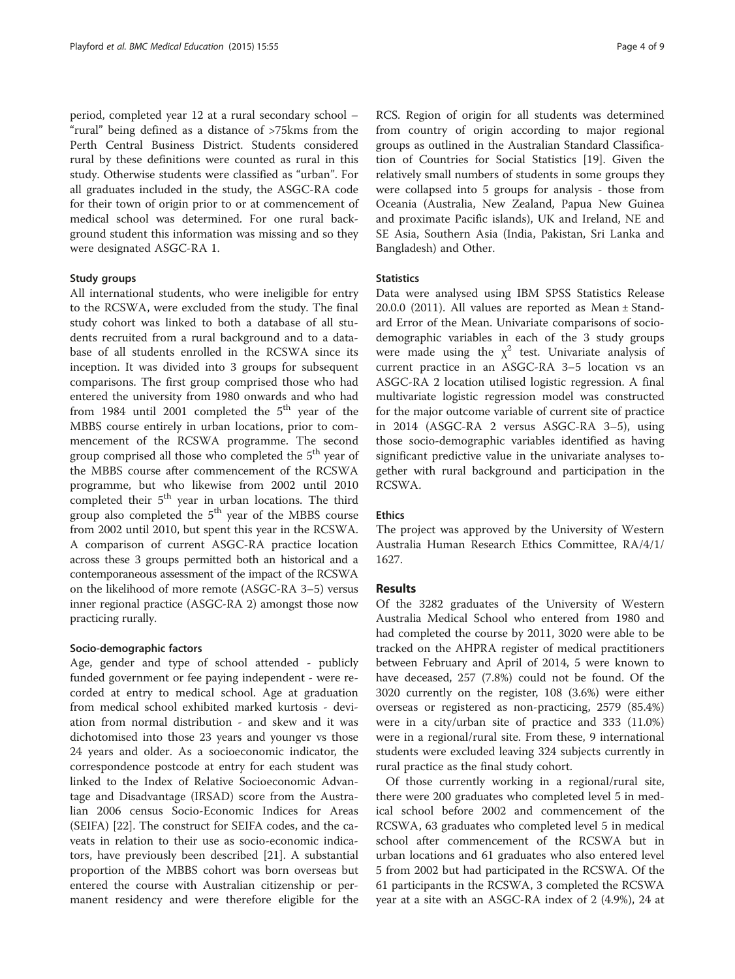period, completed year 12 at a rural secondary school – "rural" being defined as a distance of >75kms from the Perth Central Business District. Students considered rural by these definitions were counted as rural in this study. Otherwise students were classified as "urban". For all graduates included in the study, the ASGC-RA code for their town of origin prior to or at commencement of medical school was determined. For one rural background student this information was missing and so they were designated ASGC-RA 1.

#### Study groups

All international students, who were ineligible for entry to the RCSWA, were excluded from the study. The final study cohort was linked to both a database of all students recruited from a rural background and to a database of all students enrolled in the RCSWA since its inception. It was divided into 3 groups for subsequent comparisons. The first group comprised those who had entered the university from 1980 onwards and who had from 1984 until 2001 completed the  $5<sup>th</sup>$  year of the MBBS course entirely in urban locations, prior to commencement of the RCSWA programme. The second group comprised all those who completed the 5<sup>th</sup> year of the MBBS course after commencement of the RCSWA programme, but who likewise from 2002 until 2010 completed their 5<sup>th</sup> year in urban locations. The third group also completed the 5<sup>th</sup> year of the MBBS course from 2002 until 2010, but spent this year in the RCSWA. A comparison of current ASGC-RA practice location across these 3 groups permitted both an historical and a contemporaneous assessment of the impact of the RCSWA on the likelihood of more remote (ASGC-RA 3–5) versus inner regional practice (ASGC-RA 2) amongst those now practicing rurally.

#### Socio-demographic factors

Age, gender and type of school attended - publicly funded government or fee paying independent - were recorded at entry to medical school. Age at graduation from medical school exhibited marked kurtosis - deviation from normal distribution - and skew and it was dichotomised into those 23 years and younger vs those 24 years and older. As a socioeconomic indicator, the correspondence postcode at entry for each student was linked to the Index of Relative Socioeconomic Advantage and Disadvantage (IRSAD) score from the Australian 2006 census Socio-Economic Indices for Areas (SEIFA) [[22](#page-8-0)]. The construct for SEIFA codes, and the caveats in relation to their use as socio-economic indicators, have previously been described [[21](#page-8-0)]. A substantial proportion of the MBBS cohort was born overseas but entered the course with Australian citizenship or permanent residency and were therefore eligible for the

RCS. Region of origin for all students was determined from country of origin according to major regional groups as outlined in the Australian Standard Classification of Countries for Social Statistics [[19\]](#page-8-0). Given the relatively small numbers of students in some groups they were collapsed into 5 groups for analysis - those from Oceania (Australia, New Zealand, Papua New Guinea and proximate Pacific islands), UK and Ireland, NE and SE Asia, Southern Asia (India, Pakistan, Sri Lanka and Bangladesh) and Other.

#### **Statistics**

Data were analysed using IBM SPSS Statistics Release 20.0.0 (2011). All values are reported as Mean ± Standard Error of the Mean. Univariate comparisons of sociodemographic variables in each of the 3 study groups were made using the  $\chi^2$  test. Univariate analysis of current practice in an ASGC-RA 3–5 location vs an ASGC-RA 2 location utilised logistic regression. A final multivariate logistic regression model was constructed for the major outcome variable of current site of practice in 2014 (ASGC-RA 2 versus ASGC-RA 3–5), using those socio-demographic variables identified as having significant predictive value in the univariate analyses together with rural background and participation in the RCSWA.

#### Ethics

The project was approved by the University of Western Australia Human Research Ethics Committee, RA/4/1/ 1627.

# Results

Of the 3282 graduates of the University of Western Australia Medical School who entered from 1980 and had completed the course by 2011, 3020 were able to be tracked on the AHPRA register of medical practitioners between February and April of 2014, 5 were known to have deceased, 257 (7.8%) could not be found. Of the 3020 currently on the register, 108 (3.6%) were either overseas or registered as non-practicing, 2579 (85.4%) were in a city/urban site of practice and 333 (11.0%) were in a regional/rural site. From these, 9 international students were excluded leaving 324 subjects currently in rural practice as the final study cohort.

Of those currently working in a regional/rural site, there were 200 graduates who completed level 5 in medical school before 2002 and commencement of the RCSWA, 63 graduates who completed level 5 in medical school after commencement of the RCSWA but in urban locations and 61 graduates who also entered level 5 from 2002 but had participated in the RCSWA. Of the 61 participants in the RCSWA, 3 completed the RCSWA year at a site with an ASGC-RA index of 2 (4.9%), 24 at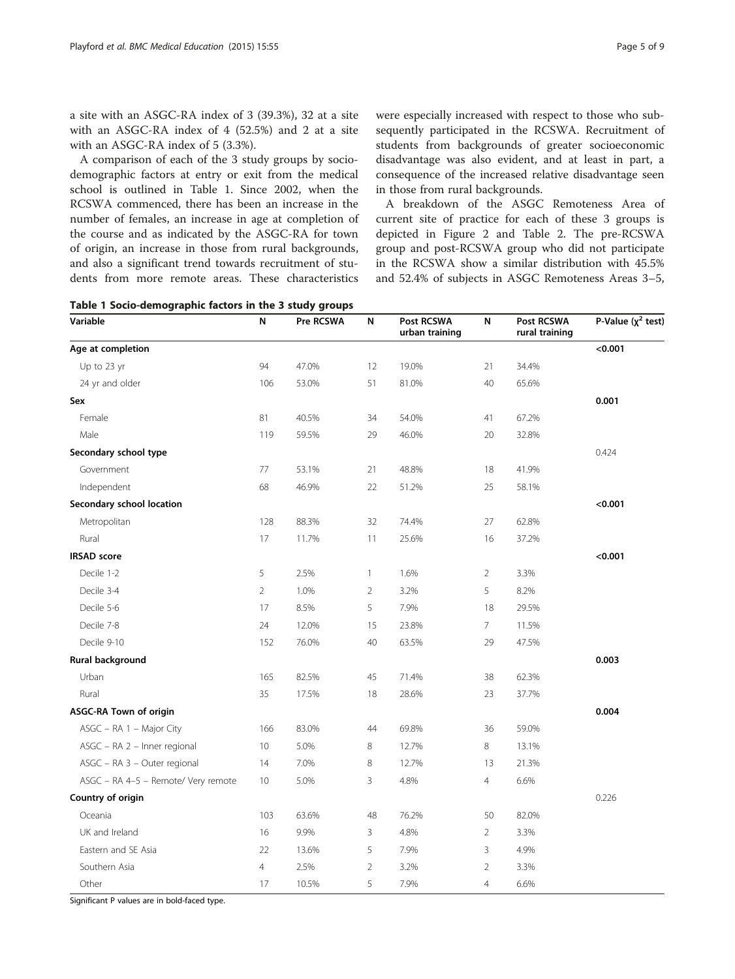a site with an ASGC-RA index of 3 (39.3%), 32 at a site with an ASGC-RA index of 4 (52.5%) and 2 at a site with an ASGC-RA index of 5 (3.3%).

A comparison of each of the 3 study groups by sociodemographic factors at entry or exit from the medical school is outlined in Table 1. Since 2002, when the RCSWA commenced, there has been an increase in the number of females, an increase in age at completion of the course and as indicated by the ASGC-RA for town of origin, an increase in those from rural backgrounds, and also a significant trend towards recruitment of students from more remote areas. These characteristics

Table 1 Socio-demographic factors in the 3 study groups

were especially increased with respect to those who subsequently participated in the RCSWA. Recruitment of students from backgrounds of greater socioeconomic disadvantage was also evident, and at least in part, a consequence of the increased relative disadvantage seen in those from rural backgrounds.

A breakdown of the ASGC Remoteness Area of current site of practice for each of these 3 groups is depicted in Figure [2](#page-5-0) and Table [2.](#page-6-0) The pre-RCSWA group and post-RCSWA group who did not participate in the RCSWA show a similar distribution with 45.5% and 52.4% of subjects in ASGC Remoteness Areas 3–5,

| Variable                            | N              | . .<br>Pre RCSWA | N              | Post RCSWA<br>urban training | N              | Post RCSWA<br>rural training | P-Value $(\chi^2$ test) |
|-------------------------------------|----------------|------------------|----------------|------------------------------|----------------|------------------------------|-------------------------|
| Age at completion                   |                |                  |                |                              |                |                              | < 0.001                 |
| Up to 23 yr                         | 94             | 47.0%            | 12             | 19.0%                        | 21             | 34.4%                        |                         |
| 24 yr and older                     | 106            | 53.0%            | 51             | 81.0%                        | 40             | 65.6%                        |                         |
| Sex                                 |                |                  |                |                              |                |                              | 0.001                   |
| Female                              | 81             | 40.5%            | 34             | 54.0%                        | 41             | 67.2%                        |                         |
| Male                                | 119            | 59.5%            | 29             | 46.0%                        | 20             | 32.8%                        |                         |
| Secondary school type               |                |                  |                |                              |                |                              | 0.424                   |
| Government                          | $77\,$         | 53.1%            | 21             | 48.8%                        | 18             | 41.9%                        |                         |
| Independent                         | 68             | 46.9%            | 22             | 51.2%                        | 25             | 58.1%                        |                         |
| Secondary school location           |                |                  |                |                              |                |                              | < 0.001                 |
| Metropolitan                        | 128            | 88.3%            | 32             | 74.4%                        | 27             | 62.8%                        |                         |
| Rural                               | 17             | 11.7%            | 11             | 25.6%                        | 16             | 37.2%                        |                         |
| <b>IRSAD</b> score                  |                |                  |                |                              |                |                              | < 0.001                 |
| Decile 1-2                          | 5              | 2.5%             | 1              | 1.6%                         | $\overline{2}$ | 3.3%                         |                         |
| Decile 3-4                          | 2              | 1.0%             | $\overline{2}$ | 3.2%                         | 5              | 8.2%                         |                         |
| Decile 5-6                          | 17             | 8.5%             | 5              | 7.9%                         | 18             | 29.5%                        |                         |
| Decile 7-8                          | 24             | 12.0%            | 15             | 23.8%                        | 7              | 11.5%                        |                         |
| Decile 9-10                         | 152            | 76.0%            | 40             | 63.5%                        | 29             | 47.5%                        |                         |
| Rural background                    |                |                  |                |                              |                |                              | 0.003                   |
| Urban                               | 165            | 82.5%            | 45             | 71.4%                        | 38             | 62.3%                        |                         |
| Rural                               | 35             | 17.5%            | 18             | 28.6%                        | 23             | 37.7%                        |                         |
| ASGC-RA Town of origin              |                |                  |                |                              |                |                              | 0.004                   |
| ASGC - RA 1 - Major City            | 166            | 83.0%            | 44             | 69.8%                        | 36             | 59.0%                        |                         |
| ASGC - RA 2 - Inner regional        | 10             | 5.0%             | 8              | 12.7%                        | 8              | 13.1%                        |                         |
| ASGC - RA 3 - Outer regional        | 14             | 7.0%             | 8              | 12.7%                        | 13             | 21.3%                        |                         |
| ASGC - RA 4-5 - Remote/ Very remote | 10             | 5.0%             | 3              | 4.8%                         | $\overline{4}$ | 6.6%                         |                         |
| Country of origin                   |                |                  |                |                              |                |                              | 0.226                   |
| Oceania                             | 103            | 63.6%            | 48             | 76.2%                        | 50             | 82.0%                        |                         |
| UK and Ireland                      | 16             | 9.9%             | 3              | 4.8%                         | 2              | 3.3%                         |                         |
| Eastern and SE Asia                 | 22             | 13.6%            | 5              | 7.9%                         | 3              | 4.9%                         |                         |
| Southern Asia                       | $\overline{4}$ | 2.5%             | $\overline{2}$ | 3.2%                         | $\overline{2}$ | 3.3%                         |                         |
| Other                               | 17             | 10.5%            | 5              | 7.9%                         | $\overline{4}$ | 6.6%                         |                         |

Significant P values are in bold-faced type.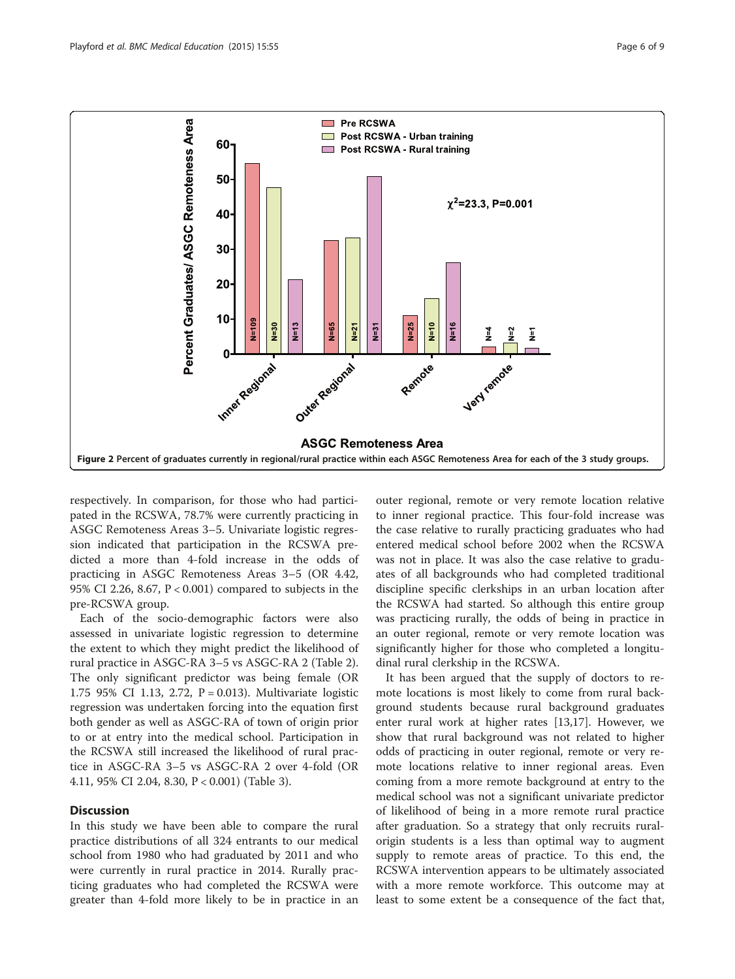<span id="page-5-0"></span>

respectively. In comparison, for those who had participated in the RCSWA, 78.7% were currently practicing in ASGC Remoteness Areas 3–5. Univariate logistic regression indicated that participation in the RCSWA predicted a more than 4-fold increase in the odds of practicing in ASGC Remoteness Areas 3–5 (OR 4.42, 95% CI 2.26, 8.67, P < 0.001) compared to subjects in the pre-RCSWA group.

Each of the socio-demographic factors were also assessed in univariate logistic regression to determine the extent to which they might predict the likelihood of rural practice in ASGC-RA 3–5 vs ASGC-RA 2 (Table [2](#page-6-0)). The only significant predictor was being female (OR 1.75 95% CI 1.13, 2.72, P = 0.013). Multivariate logistic regression was undertaken forcing into the equation first both gender as well as ASGC-RA of town of origin prior to or at entry into the medical school. Participation in the RCSWA still increased the likelihood of rural practice in ASGC-RA 3–5 vs ASGC-RA 2 over 4-fold (OR 4.11, 95% CI 2.04, 8.30, P < 0.001) (Table [3\)](#page-7-0).

# **Discussion**

In this study we have been able to compare the rural practice distributions of all 324 entrants to our medical school from 1980 who had graduated by 2011 and who were currently in rural practice in 2014. Rurally practicing graduates who had completed the RCSWA were greater than 4-fold more likely to be in practice in an

outer regional, remote or very remote location relative to inner regional practice. This four-fold increase was the case relative to rurally practicing graduates who had entered medical school before 2002 when the RCSWA was not in place. It was also the case relative to graduates of all backgrounds who had completed traditional discipline specific clerkships in an urban location after the RCSWA had started. So although this entire group was practicing rurally, the odds of being in practice in an outer regional, remote or very remote location was significantly higher for those who completed a longitudinal rural clerkship in the RCSWA.

It has been argued that the supply of doctors to remote locations is most likely to come from rural background students because rural background graduates enter rural work at higher rates [\[13,17\]](#page-8-0). However, we show that rural background was not related to higher odds of practicing in outer regional, remote or very remote locations relative to inner regional areas. Even coming from a more remote background at entry to the medical school was not a significant univariate predictor of likelihood of being in a more remote rural practice after graduation. So a strategy that only recruits ruralorigin students is a less than optimal way to augment supply to remote areas of practice. To this end, the RCSWA intervention appears to be ultimately associated with a more remote workforce. This outcome may at least to some extent be a consequence of the fact that,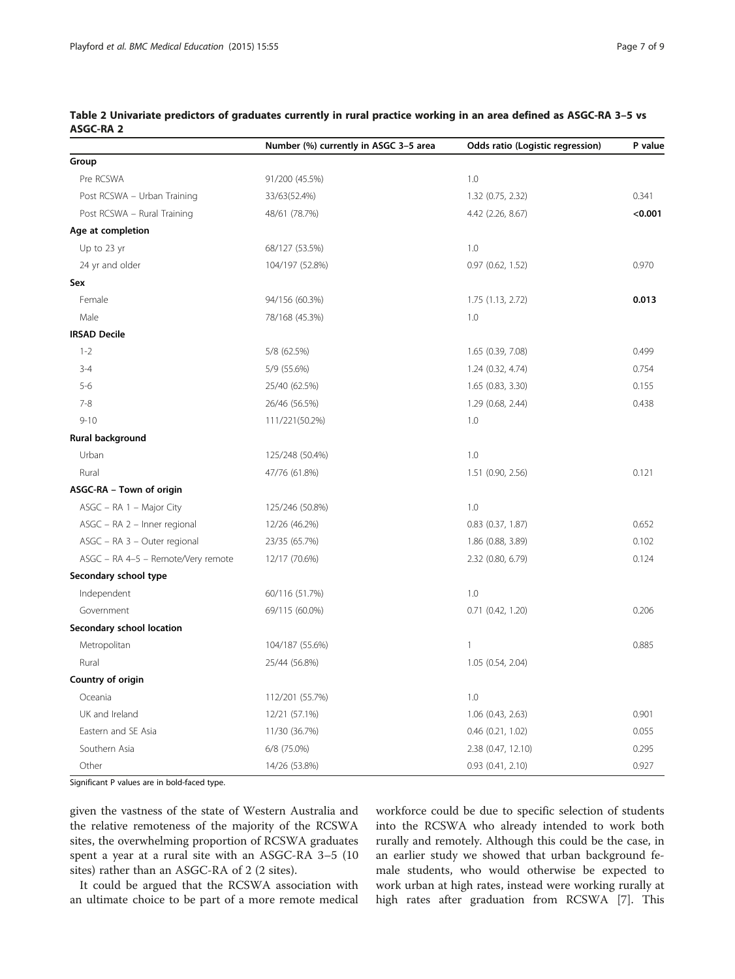|                                    | Number (%) currently in ASGC 3-5 area | Odds ratio (Logistic regression) | P value |
|------------------------------------|---------------------------------------|----------------------------------|---------|
| Group                              |                                       |                                  |         |
| Pre RCSWA                          | 91/200 (45.5%)                        | 1.0                              |         |
| Post RCSWA - Urban Training        | 33/63(52.4%)                          | 1.32 (0.75, 2.32)                | 0.341   |
| Post RCSWA - Rural Training        | 48/61 (78.7%)                         | 4.42 (2.26, 8.67)                | < 0.001 |
| Age at completion                  |                                       |                                  |         |
| Up to 23 yr                        | 68/127 (53.5%)                        | 1.0                              |         |
| 24 yr and older                    | 104/197 (52.8%)                       | $0.97$ $(0.62, 1.52)$            | 0.970   |
| Sex                                |                                       |                                  |         |
| Female                             | 94/156 (60.3%)                        | 1.75 (1.13, 2.72)                | 0.013   |
| Male                               | 78/168 (45.3%)                        | 1.0                              |         |
| <b>IRSAD Decile</b>                |                                       |                                  |         |
| $1 - 2$                            | 5/8 (62.5%)                           | 1.65 (0.39, 7.08)                | 0.499   |
| $3 - 4$                            | 5/9 (55.6%)                           | 1.24 (0.32, 4.74)                | 0.754   |
| $5 - 6$                            | 25/40 (62.5%)                         | 1.65 (0.83, 3.30)                | 0.155   |
| $7 - 8$                            | 26/46 (56.5%)                         | 1.29 (0.68, 2.44)                | 0.438   |
| $9 - 10$                           | 111/221(50.2%)                        | 1.0                              |         |
| Rural background                   |                                       |                                  |         |
| Urban                              | 125/248 (50.4%)                       | 1.0                              |         |
| Rural                              | 47/76 (61.8%)                         | 1.51 (0.90, 2.56)                | 0.121   |
| ASGC-RA - Town of origin           |                                       |                                  |         |
| $ASGC - RA 1 - Major City$         | 125/246 (50.8%)                       | 1.0                              |         |
| ASGC - RA 2 - Inner regional       | 12/26 (46.2%)                         | $0.83$ $(0.37, 1.87)$            | 0.652   |
| ASGC - RA 3 - Outer regional       | 23/35 (65.7%)                         | 1.86 (0.88, 3.89)                | 0.102   |
| ASGC - RA 4-5 - Remote/Very remote | 12/17 (70.6%)                         | 2.32 (0.80, 6.79)                | 0.124   |
| Secondary school type              |                                       |                                  |         |
| Independent                        | 60/116 (51.7%)                        | 1.0                              |         |
| Government                         | 69/115 (60.0%)                        | $0.71$ $(0.42, 1.20)$            | 0.206   |
| Secondary school location          |                                       |                                  |         |
| Metropolitan                       | 104/187 (55.6%)                       | $\mathbf{1}$                     | 0.885   |
| Rural                              | 25/44 (56.8%)                         | 1.05 (0.54, 2.04)                |         |
| Country of origin                  |                                       |                                  |         |
| Oceania                            | 112/201 (55.7%)                       | 1.0                              |         |
| UK and Ireland                     | 12/21 (57.1%)                         | 1.06 (0.43, 2.63)                | 0.901   |
| Eastern and SE Asia                | 11/30 (36.7%)                         | $0.46$ $(0.21, 1.02)$            | 0.055   |
| Southern Asia                      | 6/8 (75.0%)                           | 2.38 (0.47, 12.10)               | 0.295   |
| Other                              | 14/26 (53.8%)                         | $0.93$ $(0.41, 2.10)$            | 0.927   |

<span id="page-6-0"></span>Table 2 Univariate predictors of graduates currently in rural practice working in an area defined as ASGC-RA 3–5 vs ASGC-RA 2

Significant P values are in bold-faced type.

given the vastness of the state of Western Australia and the relative remoteness of the majority of the RCSWA sites, the overwhelming proportion of RCSWA graduates spent a year at a rural site with an ASGC-RA 3–5 (10 sites) rather than an ASGC-RA of 2 (2 sites).

It could be argued that the RCSWA association with an ultimate choice to be part of a more remote medical

workforce could be due to specific selection of students into the RCSWA who already intended to work both rurally and remotely. Although this could be the case, in an earlier study we showed that urban background female students, who would otherwise be expected to work urban at high rates, instead were working rurally at high rates after graduation from RCSWA [\[7](#page-8-0)]. This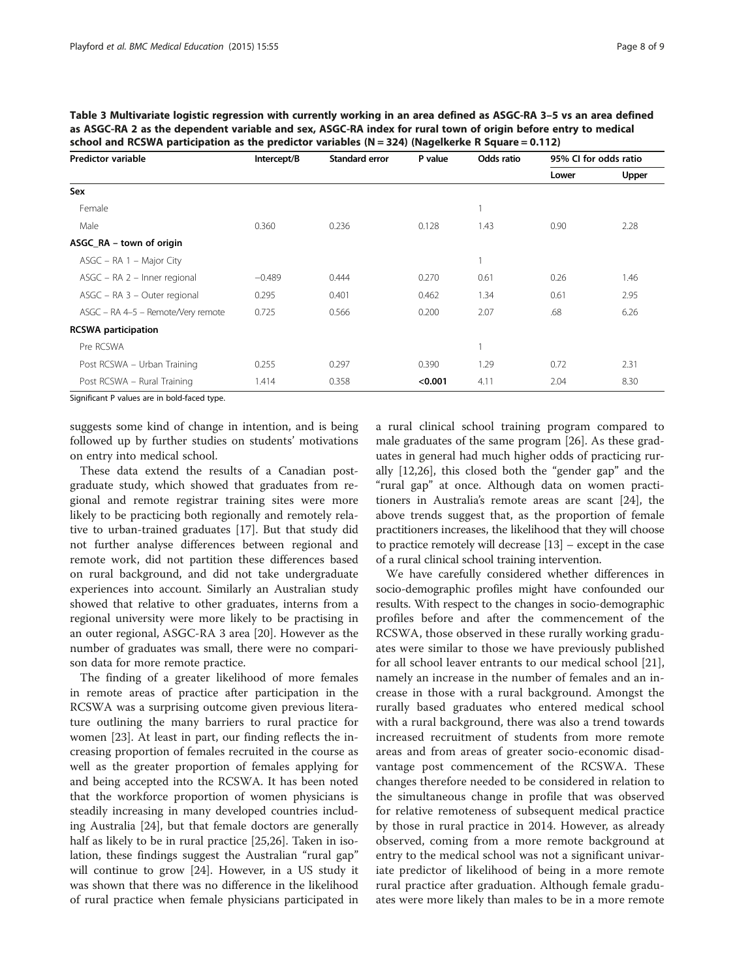| <b>Predictor variable</b>          | Intercept/B | <b>Standard error</b> | P value | Odds ratio | 95% CI for odds ratio |       |
|------------------------------------|-------------|-----------------------|---------|------------|-----------------------|-------|
|                                    |             |                       |         |            | Lower                 | Upper |
| Sex                                |             |                       |         |            |                       |       |
| Female                             |             |                       |         |            |                       |       |
| Male                               | 0.360       | 0.236                 | 0.128   | 1.43       | 0.90                  | 2.28  |
| ASGC_RA – town of origin           |             |                       |         |            |                       |       |
| $ASGC - RA 1 - Major City$         |             |                       |         |            |                       |       |
| ASGC - RA 2 - Inner regional       | $-0.489$    | 0.444                 | 0.270   | 0.61       | 0.26                  | 1.46  |
| ASGC - RA 3 - Outer regional       | 0.295       | 0.401                 | 0.462   | 1.34       | 0.61                  | 2.95  |
| ASGC - RA 4-5 - Remote/Very remote | 0.725       | 0.566                 | 0.200   | 2.07       | .68                   | 6.26  |
| <b>RCSWA</b> participation         |             |                       |         |            |                       |       |
| Pre RCSWA                          |             |                       |         | 1          |                       |       |
| Post RCSWA - Urban Training        | 0.255       | 0.297                 | 0.390   | 1.29       | 0.72                  | 2.31  |
| Post RCSWA - Rural Training        | 1.414       | 0.358                 | < 0.001 | 4.11       | 2.04                  | 8.30  |

<span id="page-7-0"></span>Table 3 Multivariate logistic regression with currently working in an area defined as ASGC-RA 3–5 vs an area defined as ASGC-RA 2 as the dependent variable and sex, ASGC-RA index for rural town of origin before entry to medical school and RCSWA participation as the predictor variables  $(N - 324)$  (Nagelkerke R Square - 0.112)

Significant P values are in bold-faced type.

suggests some kind of change in intention, and is being followed up by further studies on students' motivations on entry into medical school.

These data extend the results of a Canadian postgraduate study, which showed that graduates from regional and remote registrar training sites were more likely to be practicing both regionally and remotely relative to urban-trained graduates [\[17\]](#page-8-0). But that study did not further analyse differences between regional and remote work, did not partition these differences based on rural background, and did not take undergraduate experiences into account. Similarly an Australian study showed that relative to other graduates, interns from a regional university were more likely to be practising in an outer regional, ASGC-RA 3 area [[20\]](#page-8-0). However as the number of graduates was small, there were no comparison data for more remote practice.

The finding of a greater likelihood of more females in remote areas of practice after participation in the RCSWA was a surprising outcome given previous literature outlining the many barriers to rural practice for women [\[23\]](#page-8-0). At least in part, our finding reflects the increasing proportion of females recruited in the course as well as the greater proportion of females applying for and being accepted into the RCSWA. It has been noted that the workforce proportion of women physicians is steadily increasing in many developed countries including Australia [[24\]](#page-8-0), but that female doctors are generally half as likely to be in rural practice [[25](#page-8-0),[26](#page-8-0)]. Taken in isolation, these findings suggest the Australian "rural gap" will continue to grow [\[24](#page-8-0)]. However, in a US study it was shown that there was no difference in the likelihood of rural practice when female physicians participated in a rural clinical school training program compared to male graduates of the same program [\[26\]](#page-8-0). As these graduates in general had much higher odds of practicing rurally [\[12,26](#page-8-0)], this closed both the "gender gap" and the "rural gap" at once. Although data on women practitioners in Australia's remote areas are scant [\[24](#page-8-0)], the above trends suggest that, as the proportion of female practitioners increases, the likelihood that they will choose to practice remotely will decrease [[13](#page-8-0)] – except in the case of a rural clinical school training intervention.

We have carefully considered whether differences in socio-demographic profiles might have confounded our results. With respect to the changes in socio-demographic profiles before and after the commencement of the RCSWA, those observed in these rurally working graduates were similar to those we have previously published for all school leaver entrants to our medical school [\[21](#page-8-0)], namely an increase in the number of females and an increase in those with a rural background. Amongst the rurally based graduates who entered medical school with a rural background, there was also a trend towards increased recruitment of students from more remote areas and from areas of greater socio-economic disadvantage post commencement of the RCSWA. These changes therefore needed to be considered in relation to the simultaneous change in profile that was observed for relative remoteness of subsequent medical practice by those in rural practice in 2014. However, as already observed, coming from a more remote background at entry to the medical school was not a significant univariate predictor of likelihood of being in a more remote rural practice after graduation. Although female graduates were more likely than males to be in a more remote